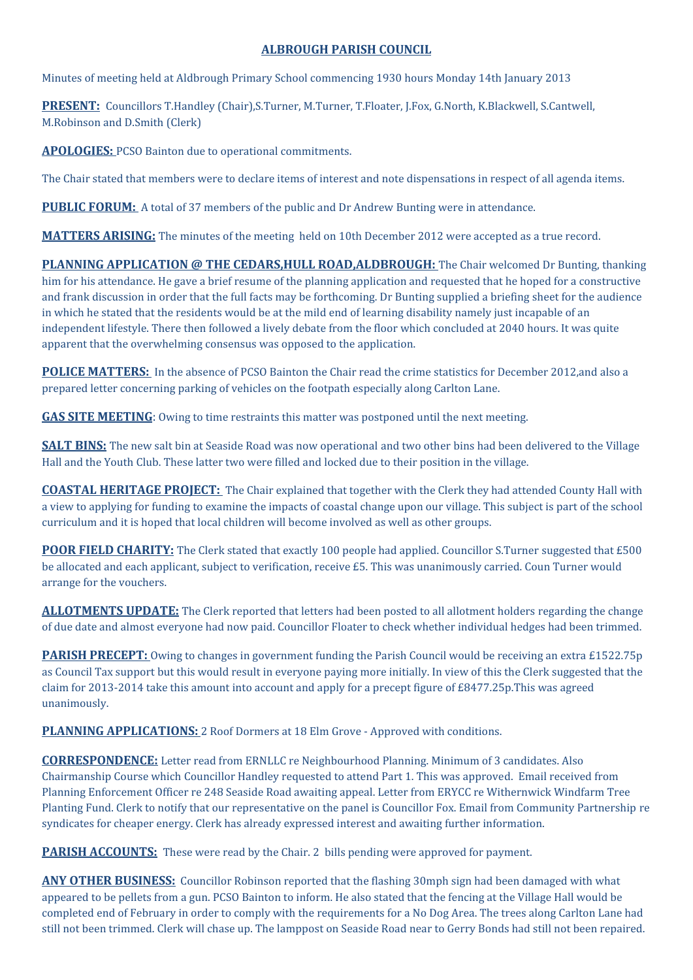## **ALBROUGH PARISH COUNCIL**

Minutes of meeting held at Aldbrough Primary School commencing 1930 hours Monday 14th January 2013

**PRESENT:** Councillors T.Handley (Chair),S.Turner, M.Turner, T.Floater, J.Fox, G.North, K.Blackwell, S.Cantwell, M.Robinson and D.Smith (Clerk)

**APOLOGIES:** PCSO Bainton due to operational commitments.

The Chair stated that members were to declare items of interest and note dispensations in respect of all agenda items.

**PUBLIC FORUM:** A total of 37 members of the public and Dr Andrew Bunting were in attendance.

**MATTERS ARISING:** The minutes of the meeting held on 10th December 2012 were accepted as a true record.

**PLANNING APPLICATION @ THE CEDARS,HULL ROAD,ALDBROUGH:** The Chair welcomed Dr Bunting, thanking him for his attendance. He gave a brief resume of the planning application and requested that he hoped for a constructive and frank discussion in order that the full facts may be forthcoming. Dr Bunting supplied a briefing sheet for the audience in which he stated that the residents would be at the mild end of learning disability namely just incapable of an independent lifestyle. There then followed a lively debate from the floor which concluded at 2040 hours. It was quite apparent that the overwhelming consensus was opposed to the application.

**POLICE MATTERS:** In the absence of PCSO Bainton the Chair read the crime statistics for December 2012,and also a prepared letter concerning parking of vehicles on the footpath especially along Carlton Lane.

**GAS SITE MEETING**: Owing to time restraints this matter was postponed until the next meeting.

**SALT BINS:** The new salt bin at Seaside Road was now operational and two other bins had been delivered to the Village Hall and the Youth Club. These latter two were filled and locked due to their position in the village.

**COASTAL HERITAGE PROJECT:** The Chair explained that together with the Clerk they had attended County Hall with a view to applying for funding to examine the impacts of coastal change upon our village. This subject is part of the school curriculum and it is hoped that local children will become involved as well as other groups.

**POOR FIELD CHARITY:** The Clerk stated that exactly 100 people had applied. Councillor S.Turner suggested that £500 be allocated and each applicant, subject to verification, receive £5. This was unanimously carried. Coun Turner would arrange for the vouchers.

**ALLOTMENTS UPDATE:** The Clerk reported that letters had been posted to all allotment holders regarding the change of due date and almost everyone had now paid. Councillor Floater to check whether individual hedges had been trimmed.

**PARISH PRECEPT:** Owing to changes in government funding the Parish Council would be receiving an extra £1522.75p as Council Tax support but this would result in everyone paying more initially. In view of this the Clerk suggested that the claim for 2013-2014 take this amount into account and apply for a precept figure of £8477.25p.This was agreed unanimously.

**PLANNING APPLICATIONS:** 2 Roof Dormers at 18 Elm Grove - Approved with conditions.

**CORRESPONDENCE:** Letter read from ERNLLC re Neighbourhood Planning. Minimum of 3 candidates. Also Chairmanship Course which Councillor Handley requested to attend Part 1. This was approved. Email received from Planning Enforcement Officer re 248 Seaside Road awaiting appeal. Letter from ERYCC re Withernwick Windfarm Tree Planting Fund. Clerk to notify that our representative on the panel is Councillor Fox. Email from Community Partnership re syndicates for cheaper energy. Clerk has already expressed interest and awaiting further information.

**PARISH ACCOUNTS:** These were read by the Chair. 2 bills pending were approved for payment.

**ANY OTHER BUSINESS:** Councillor Robinson reported that the flashing 30mph sign had been damaged with what appeared to be pellets from a gun. PCSO Bainton to inform. He also stated that the fencing at the Village Hall would be completed end of February in order to comply with the requirements for a No Dog Area. The trees along Carlton Lane had still not been trimmed. Clerk will chase up. The lamppost on Seaside Road near to Gerry Bonds had still not been repaired.